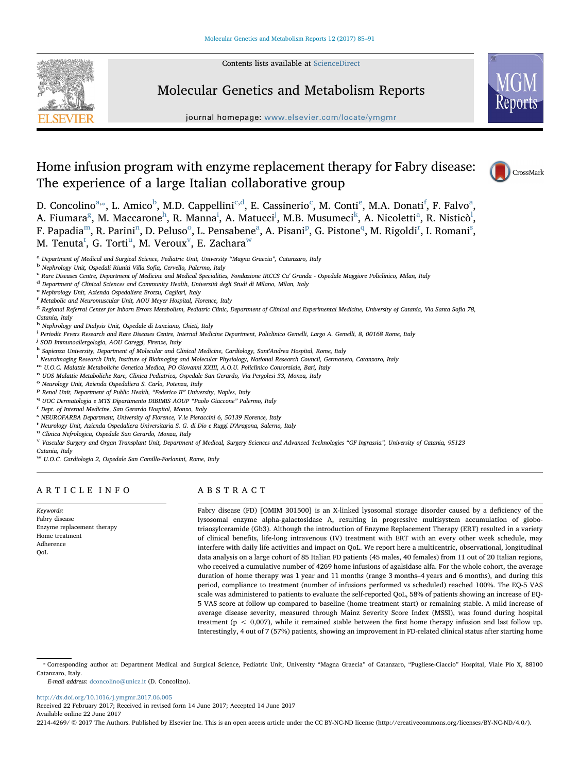Contents lists available at [ScienceDirect](http://www.sciencedirect.com/science/journal/22144269)



# Molecular Genetics and Metabolism Reports

journal homepage: [www.elsevier.com/locate/ymgmr](http://www.elsevier.com/locate/ymgmr)

# Home infusion program with enzyme replacement therapy for Fabry disease: The experience of a large Italian collaborative group



D. Concolino<sup>[a](#page-0-0),</sup>\*, L. Amico<sup>[b](#page-0-2)</sup>, M.D. Cappellini<sup>[c,](#page-0-3)[d](#page-0-4)</sup>, E. Cassinerio<sup>[c](#page-0-3)</sup>, M. Conti<sup>[e](#page-0-5)</sup>, M.A. Donati<sup>[f](#page-0-6)</sup>, F. Falvo<sup>a</sup>, A. Fiumara<sup>[g](#page-0-7)</sup>, M. Maccarone<sup>[h](#page-0-8)</sup>, R. Manna<sup>[i](#page-0-9)</sup>, A. Matucci<sup>[j](#page-0-10)</sup>, M.B. Musumeci<sup>[k](#page-0-11)</sup>, A. Nicoletti<sup>[a](#page-0-0)</sup>, R. Nisticò<sup>[l](#page-0-12)</sup>, F. Papadia<sup>m</sup>, R. Par[in](#page-0-14)i<sup>n</sup>, D. Pelus[o](#page-0-15)<sup>o</sup>, L. Pens[a](#page-0-0)bene<su[p](#page-0-16)>a</sup>, A. Pisani<sup>p</sup>, G. Pistone<sup>[q](#page-0-17)</sup>, M. Rigoldi<sup>[r](#page-0-18)</[s](#page-0-19)up>, I. Romani<sup>s</sup>, M. Tenu[t](#page-0-20)a $^{\rm t}$ , G. Torti $^{\rm u}$  $^{\rm u}$  $^{\rm u}$ , M. Veroux $^{\rm v}$  $^{\rm v}$  $^{\rm v}$ , E. Zachara $^{\rm w}$  $^{\rm w}$  $^{\rm w}$ 

<span id="page-0-3"></span><span id="page-0-2"></span>

<span id="page-0-0"></span><sup>a</sup> Department of Medical and Surgical Science, Pediatric Unit, University "Magna Graecia", Catanzaro, Italy<br><sup>b</sup> Nephrology Unit, Ospedali Riuniti Villa Sofia, Cervello, Palermo, Italy<br><sup>c</sup> Rare Diseases Centre, Department

<span id="page-0-4"></span><sup>d</sup> Department of Clinical Sciences and Community Health, Università degli Studi di Milano, Milan, Italy

<span id="page-0-5"></span><sup>e</sup> Nephrology Unit, Azienda Ospedaliera Brotzu, Cagliari, Italy

<span id="page-0-6"></span>f Metabolic and Neuromuscular Unit, AOU Meyer Hospital, Florence, Italy

<span id="page-0-7"></span><sup>g</sup> Regional Referral Center for Inborn Errors Metabolism, Pediatric Clinic, Department of Clinical and Experimental Medicine, University of Catania, Via Santa Sofia 78,

Catania, Italy

<span id="page-0-8"></span>h Nephrology and Dialysis Unit, Ospedale di Lanciano, Chieti, Italy

<span id="page-0-9"></span><sup>i</sup> Periodic Fevers Research and Rare Diseases Centre, Internal Medicine Department, Policlinico Gemelli, Largo A. Gemelli, 8, 00168 Rome, Italy

<span id="page-0-10"></span><sup>j</sup> SOD Immunoallergologia, AOU Careggi, Firenze, Italy

<span id="page-0-11"></span><sup>k</sup> Sapienza University, Department of Molecular and Clinical Medicine, Cardiology, Sant'Andrea Hospital, Rome, Italy

<span id="page-0-12"></span>l Neuroimaging Research Unit, Institute of Bioimaging and Molecular Physiology, National Research Council, Germaneto, Catanzaro, Italy

<span id="page-0-13"></span>m U.O.C. Malattie Metaboliche Genetica Medica, PO Giovanni XXIII, A.O.U. Policlinico Consorziale, Bari, Italy n UOS Malattie Metaboliche Rare, Clinica Pediatrica, Ospedale San Gerardo, Via Pergolesi 33, Monza, Italy  $^{\circ}$ 

<span id="page-0-15"></span><span id="page-0-14"></span>

- <span id="page-0-16"></span>
- 
- <span id="page-0-18"></span><span id="page-0-17"></span><sup>q</sup> UOC Dermatologia e MTS Dipartimento DIBIMIS AOUP "Paolo Giaccone" Palermo, Italy <sup>r</sup> Dept. of Internal Medicine, San Gerardo Hospital, Monza, Italy
- 
- <span id="page-0-19"></span><sup>s</sup> NEUROFARBA Department, University of Florence, V.le Pieraccini 6, 50139 Florence, Italy
- <span id="page-0-20"></span><sup>t</sup> Neurology Unit, Azienda Ospedaliera Universitaria S. G. di Dio e Ruggi D'Aragona, Salerno, Italy
- <span id="page-0-22"></span>
- <span id="page-0-21"></span>u Clinica Nefrologica, Ospedale San Gerardo, Monza, Italy<br><sup>V</sup> Vascular Surgery and Organ Transplant Unit, Department of Medical, Surgery Sciences and Advanced Technologies "GF Ingrassia", University of Catania, 95123

Catania, Italy

<span id="page-0-23"></span><sup>w</sup> U.O.C. Cardiologia 2, Ospedale San Camillo-Forlanini, Rome, Italy

# ARTICLE INFO

Keywords: Fabry disease Enzyme replacement therapy Home treatment Adherence QoL

# ABSTRACT

Fabry disease (FD) [OMIM 301500] is an X-linked lysosomal storage disorder caused by a deficiency of the lysosomal enzyme alpha-galactosidase A, resulting in progressive multisystem accumulation of globotriaosylceramide (Gb3). Although the introduction of Enzyme Replacement Therapy (ERT) resulted in a variety of clinical benefits, life-long intravenous (IV) treatment with ERT with an every other week schedule, may interfere with daily life activities and impact on QoL. We report here a multicentric, observational, longitudinal data analysis on a large cohort of 85 Italian FD patients (45 males, 40 females) from 11 out of 20 Italian regions, who received a cumulative number of 4269 home infusions of agalsidase alfa. For the whole cohort, the average duration of home therapy was 1 year and 11 months (range 3 months–4 years and 6 months), and during this period, compliance to treatment (number of infusions performed vs scheduled) reached 100%. The EQ-5 VAS scale was administered to patients to evaluate the self-reported QoL, 58% of patients showing an increase of EQ-5 VAS score at follow up compared to baseline (home treatment start) or remaining stable. A mild increase of average disease severity, measured through Mainz Severity Score Index (MSSI), was found during hospital treatment (p < 0,007), while it remained stable between the first home therapy infusion and last follow up. Interestingly, 4 out of 7 (57%) patients, showing an improvement in FD-related clinical status after starting home

E-mail address: [dconcolino@unicz.it](mailto:dconcolino@unicz.it) (D. Concolino).

<http://dx.doi.org/10.1016/j.ymgmr.2017.06.005>

Received 22 February 2017; Received in revised form 14 June 2017; Accepted 14 June 2017 Available online 22 June 2017

2214-4269/ © 2017 The Authors. Published by Elsevier Inc. This is an open access article under the CC BY-NC-ND license (http://creativecommons.org/licenses/BY-NC-ND/4.0/).

<span id="page-0-1"></span><sup>⁎</sup> Corresponding author at: Department Medical and Surgical Science, Pediatric Unit, University "Magna Graecia" of Catanzaro, "Pugliese-Ciaccio" Hospital, Viale Pio X, 88100 Catanzaro, Italy.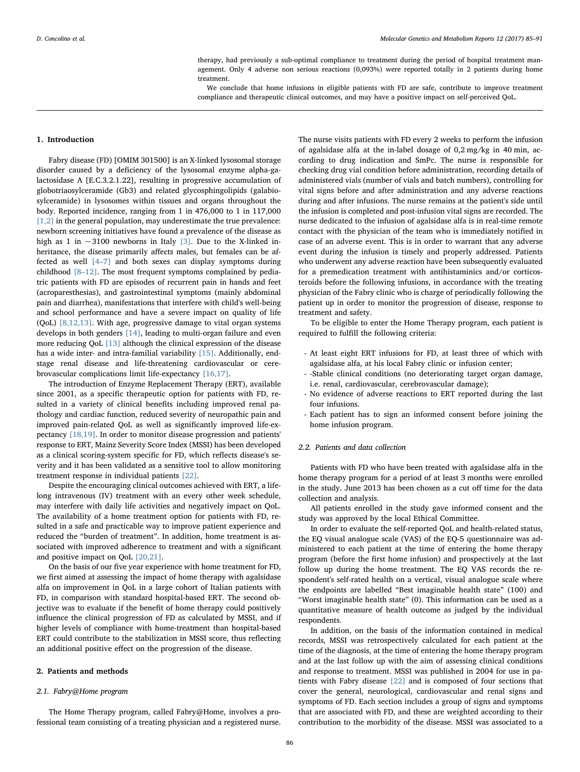therapy, had previously a sub-optimal compliance to treatment during the period of hospital treatment management. Only 4 adverse non serious reactions (0,093%) were reported totally in 2 patients during home treatment.

We conclude that home infusions in eligible patients with FD are safe, contribute to improve treatment compliance and therapeutic clinical outcomes, and may have a positive impact on self-perceived QoL.

# 1. Introduction

Fabry disease (FD) [OMIM 301500] is an X-linked lysosomal storage disorder caused by a deficiency of the lysosomal enzyme alpha-galactosidase A [E.C.3.2.1.22], resulting in progressive accumulation of globotriaosylceramide (Gb3) and related glycosphingolipids (galabiosylceramide) in lysosomes within tissues and organs throughout the body. Reported incidence, ranging from 1 in 476,000 to 1 in 117,000  $[1,2]$  in the general population, may underestimate the true prevalence: newborn screening initiatives have found a prevalence of the disease as high as 1 in  $\sim$  3100 newborns in Italy [\[3\]](#page-5-1). Due to the X-linked inheritance, the disease primarily affects males, but females can be affected as well [\[4](#page-5-2)–7] and both sexes can display symptoms during childhood [8–[12\].](#page-5-3) The most frequent symptoms complained by pediatric patients with FD are episodes of recurrent pain in hands and feet (acroparesthesias), and gastrointestinal symptoms (mainly abdominal pain and diarrhea), manifestations that interfere with child's well-being and school performance and have a severe impact on quality of life (QoL) [\[8,12,13\].](#page-5-3) With age, progressive damage to vital organ systems develops in both genders [\[14\]](#page-5-4), leading to multi-organ failure and even more reducing QoL [\[13\]](#page-5-5) although the clinical expression of the disease has a wide inter- and intra-familial variability [\[15\].](#page-5-6) Additionally, endstage renal disease and life-threatening cardiovascular or cerebrovascular complications limit life-expectancy [\[16,17\]](#page-5-7).

The introduction of Enzyme Replacement Therapy (ERT), available since 2001, as a specific therapeutic option for patients with FD, resulted in a variety of clinical benefits including improved renal pathology and cardiac function, reduced severity of neuropathic pain and improved pain-related QoL as well as significantly improved life-expectancy [\[18,19\]](#page-6-0). In order to monitor disease progression and patients' response to ERT, Mainz Severity Score Index (MSSI) has been developed as a clinical scoring-system specific for FD, which reflects disease's severity and it has been validated as a sensitive tool to allow monitoring treatment response in individual patients [\[22\]](#page-6-1).

Despite the encouraging clinical outcomes achieved with ERT, a lifelong intravenous (IV) treatment with an every other week schedule, may interfere with daily life activities and negatively impact on QoL. The availability of a home treatment option for patients with FD, resulted in a safe and practicable way to improve patient experience and reduced the "burden of treatment". In addition, home treatment is associated with improved adherence to treatment and with a significant and positive impact on QoL [\[20,21\].](#page-6-2)

On the basis of our five year experience with home treatment for FD, we first aimed at assessing the impact of home therapy with agalsidase alfa on improvement in QoL in a large cohort of Italian patients with FD, in comparison with standard hospital-based ERT. The second objective was to evaluate if the benefit of home therapy could positively influence the clinical progression of FD as calculated by MSSI, and if higher levels of compliance with home-treatment than hospital-based ERT could contribute to the stabilization in MSSI score, thus reflecting an additional positive effect on the progression of the disease.

#### 2. Patients and methods

### 2.1. Fabry@Home program

The Home Therapy program, called Fabry@Home, involves a professional team consisting of a treating physician and a registered nurse. The nurse visits patients with FD every 2 weeks to perform the infusion of agalsidase alfa at the in-label dosage of 0,2 mg/kg in 40 min, according to drug indication and SmPc. The nurse is responsible for checking drug vial condition before administration, recording details of administered vials (number of vials and batch numbers), controlling for vital signs before and after administration and any adverse reactions during and after infusions. The nurse remains at the patient's side until the infusion is completed and post-infusion vital signs are recorded. The nurse dedicated to the infusion of agalsidase alfa is in real-time remote contact with the physician of the team who is immediately notified in case of an adverse event. This is in order to warrant that any adverse event during the infusion is timely and properly addressed. Patients who underwent any adverse reaction have been subsequently evaluated for a premedication treatment with antihistaminics and/or corticosteroids before the following infusions, in accordance with the treating physician of the Fabry clinic who is charge of periodically following the patient up in order to monitor the progression of disease, response to treatment and safety.

To be eligible to enter the Home Therapy program, each patient is required to fulfill the following criteria:

- At least eight ERT infusions for FD, at least three of which with agalsidase alfa, at his local Fabry clinic or infusion center;
- -Stable clinical conditions (no deteriorating target organ damage, i.e. renal, cardiovascular, cerebrovascular damage);
- No evidence of adverse reactions to ERT reported during the last four infusions.
- Each patient has to sign an informed consent before joining the home infusion program.

## 2.2. Patients and data collection

Patients with FD who have been treated with agalsidase alfa in the home therapy program for a period of at least 3 months were enrolled in the study. June 2013 has been chosen as a cut off time for the data collection and analysis.

All patients enrolled in the study gave informed consent and the study was approved by the local Ethical Committee.

In order to evaluate the self-reported QoL and health-related status, the EQ visual analogue scale (VAS) of the EQ-5 questionnaire was administered to each patient at the time of entering the home therapy program (before the first home infusion) and prospectively at the last follow up during the home treatment. The EQ VAS records the respondent's self-rated health on a vertical, visual analogue scale where the endpoints are labelled "Best imaginable health state" (100) and "Worst imaginable health state" (0). This information can be used as a quantitative measure of health outcome as judged by the individual respondents.

In addition, on the basis of the information contained in medical records, MSSI was retrospectively calculated for each patient at the time of the diagnosis, at the time of entering the home therapy program and at the last follow up with the aim of assessing clinical conditions and response to treatment. MSSI was published in 2004 for use in patients with Fabry disease [\[22\]](#page-6-1) and is composed of four sections that cover the general, neurological, cardiovascular and renal signs and symptoms of FD. Each section includes a group of signs and symptoms that are associated with FD, and these are weighted according to their contribution to the morbidity of the disease. MSSI was associated to a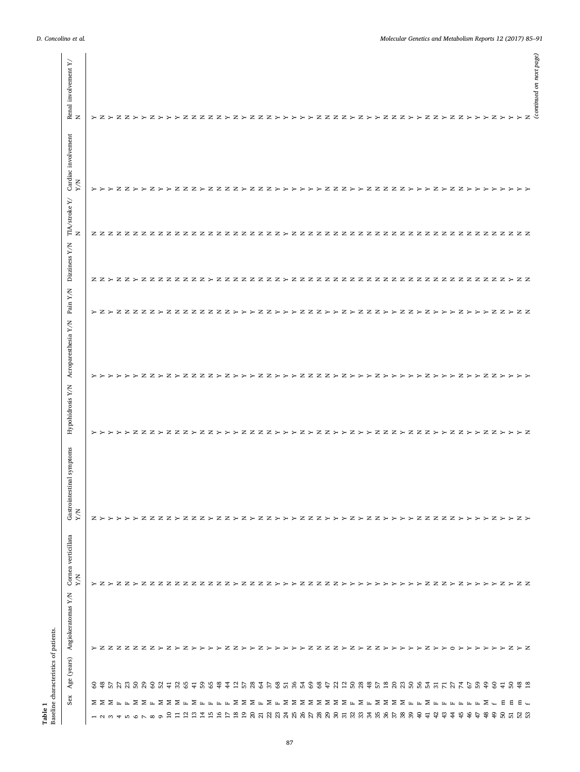|       | characteristics of patients |  |
|-------|-----------------------------|--|
| Lable | aseline                     |  |

<span id="page-2-0"></span>

| Renal involvement $\mathbb{Y}/\mathbb{N}$ |                                                                                             |               |  |  |  |  |              |              |                |                 |               |                |               |                 |  |  |  |  |  |  |                                                                                                |  |  |  |  |     |  |                 |               | $\rightarrow$ | $\rightarrow$ | Z >            | ↣                           |                                   | (continued on next page)<br>$\mathbf{z}$ |  |
|-------------------------------------------|---------------------------------------------------------------------------------------------|---------------|--|--|--|--|--------------|--------------|----------------|-----------------|---------------|----------------|---------------|-----------------|--|--|--|--|--|--|------------------------------------------------------------------------------------------------|--|--|--|--|-----|--|-----------------|---------------|---------------|---------------|----------------|-----------------------------|-----------------------------------|------------------------------------------|--|
|                                           |                                                                                             |               |  |  |  |  |              |              |                |                 |               |                |               |                 |  |  |  |  |  |  |                                                                                                |  |  |  |  |     |  |                 |               |               |               |                |                             |                                   |                                          |  |
| Cardiac involvement $_{\rm Y/N}$          |                                                                                             |               |  |  |  |  |              |              |                |                 |               |                |               |                 |  |  |  |  |  |  |                                                                                                |  |  |  |  |     |  |                 |               |               |               |                |                             |                                   |                                          |  |
|                                           | $\succ$ $\succ$                                                                             | $\rightarrow$ |  |  |  |  |              |              |                |                 |               |                |               |                 |  |  |  |  |  |  | Z Z > > Z > > Z Z Z > Z Z Z > Z Z > > > > > > > Z Z Z > > Z Z Z > > > Z Z > > Z Z Z >          |  |  |  |  |     |  |                 |               | ↣             | ≻             |                |                             |                                   |                                          |  |
| TIA/stroke $\mathbf{Y}/\mathbf{N}$        |                                                                                             |               |  |  |  |  |              |              |                |                 |               |                |               |                 |  |  |  |  |  |  |                                                                                                |  |  |  |  |     |  |                 |               |               |               |                |                             |                                   |                                          |  |
| Dizziness ${\rm Y/N}$                     |                                                                                             |               |  |  |  |  |              |              |                |                 |               |                |               |                 |  |  |  |  |  |  |                                                                                                |  |  |  |  |     |  |                 |               |               |               |                |                             |                                   |                                          |  |
|                                           |                                                                                             |               |  |  |  |  |              |              |                |                 |               |                |               |                 |  |  |  |  |  |  |                                                                                                |  |  |  |  |     |  |                 |               |               |               |                |                             |                                   |                                          |  |
| Pain ${\it Y/N}$                          | > Z > Z Z Z Z Z > Z Z Z Z Z Z Z Z > > > Z Z > > > Z Z > > Z Z Z > > Z Z Z > > Z > > > > Z Z |               |  |  |  |  |              |              |                |                 |               |                |               |                 |  |  |  |  |  |  |                                                                                                |  |  |  |  |     |  |                 |               |               |               |                | $>$ $>$ $Z$ $Z$ $>$ $Z$ $Z$ |                                   |                                          |  |
|                                           |                                                                                             |               |  |  |  |  |              |              |                |                 |               |                |               |                 |  |  |  |  |  |  |                                                                                                |  |  |  |  |     |  |                 |               |               |               |                |                             |                                   |                                          |  |
| Acroparesthesia Y/N                       |                                                                                             |               |  |  |  |  |              |              |                |                 |               |                |               |                 |  |  |  |  |  |  |                                                                                                |  |  |  |  |     |  |                 |               |               |               |                |                             |                                   |                                          |  |
|                                           | $\rightarrow$ $\rightarrow$                                                                 |               |  |  |  |  |              |              |                |                 |               |                |               |                 |  |  |  |  |  |  |                                                                                                |  |  |  |  | Z > |  | $>$ $>$ $Z$ $>$ |               | $\rightarrow$ |               | $Z Z \succ$    | ↣                           |                                   |                                          |  |
|                                           |                                                                                             |               |  |  |  |  |              |              |                |                 |               |                |               |                 |  |  |  |  |  |  |                                                                                                |  |  |  |  |     |  |                 |               |               |               |                |                             |                                   |                                          |  |
| Hypohidrosis Y/N                          |                                                                                             |               |  |  |  |  |              |              |                |                 |               |                |               |                 |  |  |  |  |  |  |                                                                                                |  |  |  |  |     |  |                 |               |               |               |                |                             |                                   |                                          |  |
|                                           | $\rightarrow$ $\rightarrow$                                                                 |               |  |  |  |  |              |              |                |                 |               |                |               |                 |  |  |  |  |  |  | >> Z Z Z > Z Z Z > Z Z > > > Z Z Z Z > > > Z > > Z Z > > Z Z Z > > Z Z Z > > Z Z > > Z Z > > > |  |  |  |  |     |  |                 |               |               |               |                |                             | $\triangleright$ $\triangleright$ |                                          |  |
| symptoms                                  |                                                                                             |               |  |  |  |  |              |              |                |                 |               |                |               |                 |  |  |  |  |  |  |                                                                                                |  |  |  |  |     |  |                 |               |               |               |                |                             |                                   |                                          |  |
|                                           |                                                                                             |               |  |  |  |  |              |              |                |                 |               |                |               |                 |  |  |  |  |  |  |                                                                                                |  |  |  |  |     |  |                 |               |               |               |                |                             |                                   |                                          |  |
| Gastro<br>intestinal s $_{\rm Y/N}$       |                                                                                             |               |  |  |  |  |              |              |                |                 |               |                |               |                 |  |  |  |  |  |  |                                                                                                |  |  |  |  |     |  |                 |               |               |               |                |                             |                                   |                                          |  |
|                                           | Z >                                                                                         |               |  |  |  |  |              |              |                |                 |               |                |               |                 |  |  |  |  |  |  |                                                                                                |  |  |  |  |     |  |                 |               |               |               |                |                             |                                   |                                          |  |
|                                           |                                                                                             |               |  |  |  |  |              |              |                |                 |               |                |               |                 |  |  |  |  |  |  |                                                                                                |  |  |  |  |     |  |                 |               |               |               |                |                             |                                   |                                          |  |
| Comea verticillata $_{\rm Y/N}$           |                                                                                             |               |  |  |  |  |              |              |                |                 |               |                |               |                 |  |  |  |  |  |  |                                                                                                |  |  |  |  |     |  |                 |               |               |               |                |                             |                                   |                                          |  |
|                                           |                                                                                             |               |  |  |  |  |              |              |                |                 |               |                |               |                 |  |  |  |  |  |  |                                                                                                |  |  |  |  |     |  |                 |               |               |               |                |                             |                                   |                                          |  |
| Angiokeratomas $\rm Y/N$                  |                                                                                             |               |  |  |  |  |              |              |                |                 |               |                |               |                 |  |  |  |  |  |  |                                                                                                |  |  |  |  |     |  |                 |               |               |               |                |                             |                                   |                                          |  |
|                                           |                                                                                             |               |  |  |  |  |              |              |                |                 |               |                |               |                 |  |  |  |  |  |  |                                                                                                |  |  |  |  |     |  |                 |               |               |               |                |                             |                                   |                                          |  |
|                                           |                                                                                             |               |  |  |  |  |              |              |                |                 |               |                |               |                 |  |  |  |  |  |  |                                                                                                |  |  |  |  |     |  |                 |               |               |               |                |                             |                                   |                                          |  |
| Age (years)                               |                                                                                             |               |  |  |  |  |              |              |                |                 |               |                |               |                 |  |  |  |  |  |  |                                                                                                |  |  |  |  |     |  |                 |               |               |               |                |                             |                                   |                                          |  |
|                                           |                                                                                             |               |  |  |  |  |              |              |                |                 |               |                |               |                 |  |  |  |  |  |  |                                                                                                |  |  |  |  |     |  |                 |               |               |               |                |                             |                                   |                                          |  |
| Sex                                       |                                                                                             |               |  |  |  |  |              |              |                |                 |               |                |               |                 |  |  |  |  |  |  |                                                                                                |  |  |  |  |     |  |                 |               |               |               | $\overline{ }$ | E E E 4                     |                                   |                                          |  |
|                                           | HN M T H O N W D A H                                                                        |               |  |  |  |  | $\mathbf{r}$ | $\mathbf{r}$ | $\overline{1}$ | $\overline{15}$ | $\frac{6}{2}$ | $\overline{1}$ | $\frac{8}{2}$ | $\overline{19}$ |  |  |  |  |  |  |                                                                                                |  |  |  |  |     |  |                 | $\frac{8}{4}$ |               |               |                | 7998588                     |                                   |                                          |  |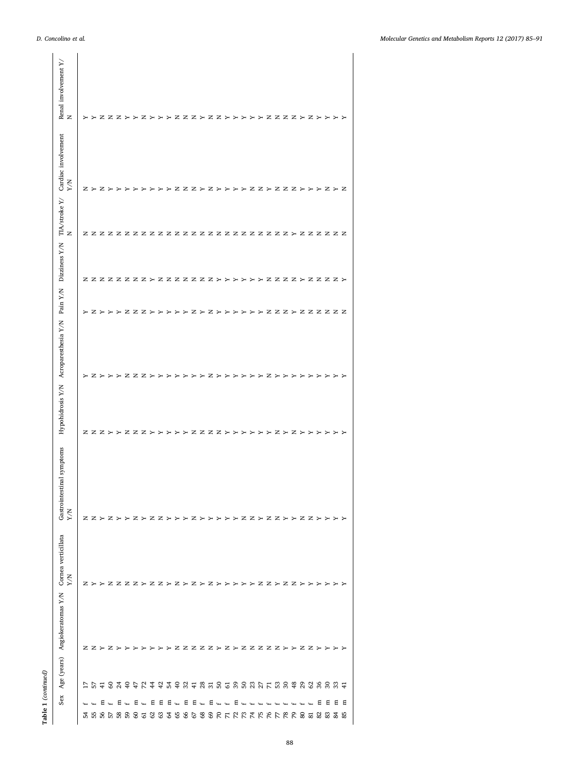| Sex                                   |                                                                                               | Age (years) Angiokeratomas Y/N | Comea verticillata<br><b>N/A</b> | Gastrointestinal symptoms<br>$_{\rm YN}$ |              | Hypohidrosis Y/N Acroparesthesia Y/N Pain Y/N Dizziness Y/N |              |                      | TIA/stroke $\mathbf{Y}/% \mathbf{Z}$<br>$\mathbf{z}$ | Cardiac involvement<br>$\mathbf{X}/\mathbf{X}$ | Renal involvement Y/<br>$\simeq$ |
|---------------------------------------|-----------------------------------------------------------------------------------------------|--------------------------------|----------------------------------|------------------------------------------|--------------|-------------------------------------------------------------|--------------|----------------------|------------------------------------------------------|------------------------------------------------|----------------------------------|
|                                       |                                                                                               |                                |                                  |                                          |              |                                                             | ↣            |                      |                                                      | z                                              |                                  |
| <b>44 E 4 E 4 E 4 E</b>               | け ア れ の 以 わ か な 社 な は や な は に え い い い だ と に だ い も か の な の い い れ と の み か み の の の な か の の の の ま | Z Z > Z >                      | Z>>ZZZZ>ZZ>Z>Z>Z>Z>Z>>>>>>>ZZz>Z | ZZ>Z>>Z>Z>ZZ>>>                          | zz           | z                                                           | z            | <b>Z Z Z Z Z Z Z</b> | Z Z Z                                                |                                                |                                  |
|                                       |                                                                                               |                                |                                  |                                          | $\mathbf{z}$ |                                                             |              |                      |                                                      | z                                              | z                                |
|                                       |                                                                                               |                                |                                  |                                          |              |                                                             |              |                      | $\mathbf{z}$                                         |                                                | z                                |
|                                       |                                                                                               |                                |                                  |                                          |              |                                                             | ۵            |                      |                                                      |                                                | z                                |
|                                       |                                                                                               | Υ                              |                                  |                                          | z            | z                                                           | z            |                      |                                                      |                                                | ↣                                |
|                                       |                                                                                               |                                |                                  |                                          | z            | z                                                           | z            |                      | ZZZZ                                                 |                                                |                                  |
|                                       |                                                                                               | ≻                              |                                  |                                          | z            | z                                                           | z            | $\mathbf{z}$         |                                                      |                                                | z                                |
|                                       |                                                                                               | ↣                              |                                  |                                          |              |                                                             | ⋗            | $\rightarrow$        | $\mathbf{z}$                                         |                                                | ≻                                |
| Ε                                     |                                                                                               | ↣                              |                                  |                                          |              |                                                             |              | z                    | $\mathbf{z}$                                         |                                                |                                  |
|                                       |                                                                                               | Y                              |                                  |                                          |              |                                                             |              | z                    | z                                                    |                                                | ↣                                |
|                                       |                                                                                               |                                |                                  |                                          |              |                                                             |              | z                    | z                                                    | z                                              | z                                |
|                                       |                                                                                               |                                |                                  |                                          |              |                                                             |              | $\mathbf{z}$         | z                                                    | z                                              | z                                |
| $E$ $\leftarrow$ $E$ $E$ $\leftarrow$ |                                                                                               |                                |                                  | z                                        | z            |                                                             | z            | $\mathbb{Z}$         | $\mathbf{z}$                                         | z                                              | z                                |
|                                       |                                                                                               |                                |                                  | $\rightarrow$                            | z            |                                                             | ≻            | $\mathbf{z}$         | $\mathbf{z}$                                         | Y                                              | ↣                                |
|                                       |                                                                                               |                                |                                  | Y                                        | z            | z                                                           | z            | $\mathbf{z}$         |                                                      | z                                              | z                                |
|                                       |                                                                                               |                                |                                  | $\rightarrow$                            | z            |                                                             |              | $\rightarrow$        |                                                      |                                                | z                                |
|                                       |                                                                                               |                                |                                  |                                          |              |                                                             | 5            | $\rightarrow$        |                                                      | ↘                                              | $\rightarrow$                    |
|                                       |                                                                                               |                                |                                  |                                          |              |                                                             | د            | ≻                    |                                                      | ↘                                              | Σ                                |
|                                       |                                                                                               |                                |                                  |                                          |              |                                                             | د            | ↣                    |                                                      | Y                                              | Y                                |
|                                       |                                                                                               |                                |                                  |                                          |              |                                                             | ٠            | ↣                    |                                                      | z                                              | Y                                |
|                                       |                                                                                               | ZZZZX>Z>ZZZZZ>>ZZ>             |                                  | >>ZZ>ZZ>>ZX>                             |              |                                                             |              | Y                    | <b>ZZZZZZZZZZ&gt;</b>                                | z                                              | Y                                |
|                                       |                                                                                               |                                |                                  |                                          |              | z                                                           | z            |                      |                                                      | Y                                              | z                                |
| $\overline{\phantom{a}}$              |                                                                                               |                                |                                  |                                          | z            |                                                             | $\mathbf{z}$ | Z Z Z Z X Z Z Z Z    |                                                      | $\mathbf{z}$                                   | $\mathbf{z}$                     |
| $\overline{\phantom{a}}$              |                                                                                               |                                |                                  |                                          |              |                                                             | $\mathbf{z}$ |                      |                                                      | $\mathbf{z}$                                   | $\mathbf{z}$                     |
| $\overline{\phantom{0}}$              |                                                                                               |                                |                                  |                                          | z            |                                                             | Y            |                      |                                                      | z                                              | z                                |
| $\overline{u}$                        |                                                                                               |                                |                                  |                                          |              |                                                             |              |                      |                                                      |                                                | Y                                |
|                                       |                                                                                               |                                |                                  |                                          |              |                                                             | z z          |                      |                                                      | ↣                                              | z                                |
| 日                                     |                                                                                               |                                | Y                                |                                          |              |                                                             | z            |                      |                                                      | ↣                                              | ↣                                |
| 툐                                     |                                                                                               | $\rightarrow$                  | ↣                                | $\rightarrow$                            |              |                                                             | z            |                      |                                                      | z                                              |                                  |
| Е                                     |                                                                                               |                                | ↣                                |                                          |              |                                                             | z            |                      | ZZZZZZ                                               |                                                |                                  |
| <b>E</b>                              |                                                                                               |                                |                                  |                                          |              |                                                             | $\mathbf{z}$ | Y                    |                                                      | z                                              |                                  |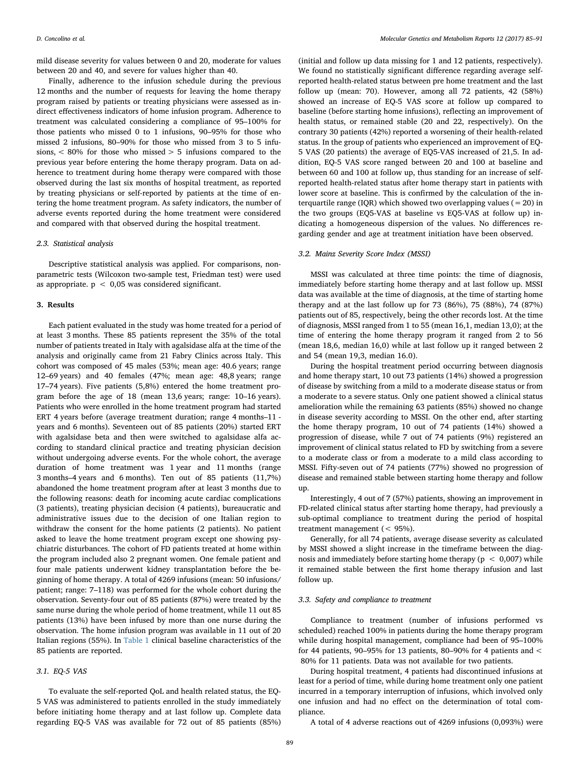Finally, adherence to the infusion schedule during the previous 12 months and the number of requests for leaving the home therapy program raised by patients or treating physicians were assessed as indirect effectiveness indicators of home infusion program. Adherence to treatment was calculated considering a compliance of 95–100% for those patients who missed 0 to 1 infusions, 90–95% for those who missed 2 infusions, 80–90% for those who missed from 3 to 5 infusions,  $\leq 80\%$  for those who missed  $> 5$  infusions compared to the previous year before entering the home therapy program. Data on adherence to treatment during home therapy were compared with those observed during the last six months of hospital treatment, as reported by treating physicians or self-reported by patients at the time of entering the home treatment program. As safety indicators, the number of adverse events reported during the home treatment were considered and compared with that observed during the hospital treatment.

#### 2.3. Statistical analysis

Descriptive statistical analysis was applied. For comparisons, nonparametric tests (Wilcoxon two-sample test, Friedman test) were used as appropriate.  $p < 0.05$  was considered significant.

# 3. Results

Each patient evaluated in the study was home treated for a period of at least 3 months. These 85 patients represent the 35% of the total number of patients treated in Italy with agalsidase alfa at the time of the analysis and originally came from 21 Fabry Clinics across Italy. This cohort was composed of 45 males (53%; mean age: 40.6 years; range 12–69 years) and 40 females (47%; mean age: 48,8 years; range 17–74 years). Five patients (5,8%) entered the home treatment program before the age of 18 (mean 13,6 years; range: 10–16 years). Patients who were enrolled in the home treatment program had started ERT 4 years before (average treatment duration; range 4 months–11 years and 6 months). Seventeen out of 85 patients (20%) started ERT with agalsidase beta and then were switched to agalsidase alfa according to standard clinical practice and treating physician decision without undergoing adverse events. For the whole cohort, the average duration of home treatment was 1 year and 11 months (range 3 months–4 years and 6 months). Ten out of 85 patients (11,7%) abandoned the home treatment program after at least 3 months due to the following reasons: death for incoming acute cardiac complications (3 patients), treating physician decision (4 patients), bureaucratic and administrative issues due to the decision of one Italian region to withdraw the consent for the home patients (2 patients). No patient asked to leave the home treatment program except one showing psychiatric disturbances. The cohort of FD patients treated at home within the program included also 2 pregnant women. One female patient and four male patients underwent kidney transplantation before the beginning of home therapy. A total of 4269 infusions (mean: 50 infusions/ patient; range: 7–118) was performed for the whole cohort during the observation. Seventy-four out of 85 patients (87%) were treated by the same nurse during the whole period of home treatment, while 11 out 85 patients (13%) have been infused by more than one nurse during the observation. The home infusion program was available in 11 out of 20 Italian regions (55%). In [Table 1](#page-2-0) clinical baseline characteristics of the 85 patients are reported.

### 3.1. EQ-5 VAS

To evaluate the self-reported QoL and health related status, the EQ-5 VAS was administered to patients enrolled in the study immediately before initiating home therapy and at last follow up. Complete data regarding EQ-5 VAS was available for 72 out of 85 patients (85%)

(initial and follow up data missing for 1 and 12 patients, respectively). We found no statistically significant difference regarding average selfreported health-related status between pre home treatment and the last follow up (mean: 70). However, among all 72 patients, 42 (58%) showed an increase of EQ-5 VAS score at follow up compared to baseline (before starting home infusions), reflecting an improvement of health status, or remained stable (20 and 22, respectively). On the contrary 30 patients (42%) reported a worsening of their health-related status. In the group of patients who experienced an improvement of EQ-5 VAS (20 patients) the average of EQ5-VAS increased of 21,5. In addition, EQ-5 VAS score ranged between 20 and 100 at baseline and between 60 and 100 at follow up, thus standing for an increase of selfreported health-related status after home therapy start in patients with lower score at baseline. This is confirmed by the calculation of the interquartile range (IQR) which showed two overlapping values  $(=20)$  in the two groups (EQ5-VAS at baseline vs EQ5-VAS at follow up) indicating a homogeneous dispersion of the values. No differences regarding gender and age at treatment initiation have been observed.

#### 3.2. Mainz Severity Score Index (MSSI)

MSSI was calculated at three time points: the time of diagnosis, immediately before starting home therapy and at last follow up. MSSI data was available at the time of diagnosis, at the time of starting home therapy and at the last follow up for 73 (86%), 75 (88%), 74 (87%) patients out of 85, respectively, being the other records lost. At the time of diagnosis, MSSI ranged from 1 to 55 (mean 16,1, median 13,0); at the time of entering the home therapy program it ranged from 2 to 56 (mean 18,6, median 16,0) while at last follow up it ranged between 2 and 54 (mean 19,3, median 16.0).

During the hospital treatment period occurring between diagnosis and home therapy start, 10 out 73 patients (14%) showed a progression of disease by switching from a mild to a moderate disease status or from a moderate to a severe status. Only one patient showed a clinical status amelioration while the remaining 63 patients (85%) showed no change in disease severity according to MSSI. On the other end, after starting the home therapy program, 10 out of 74 patients (14%) showed a progression of disease, while 7 out of 74 patients (9%) registered an improvement of clinical status related to FD by switching from a severe to a moderate class or from a moderate to a mild class according to MSSI. Fifty-seven out of 74 patients (77%) showed no progression of disease and remained stable between starting home therapy and follow up.

Interestingly, 4 out of 7 (57%) patients, showing an improvement in FD-related clinical status after starting home therapy, had previously a sub-optimal compliance to treatment during the period of hospital treatment management (< 95%).

Generally, for all 74 patients, average disease severity as calculated by MSSI showed a slight increase in the timeframe between the diagnosis and immediately before starting home therapy ( $p < 0.007$ ) while it remained stable between the first home therapy infusion and last follow up.

# 3.3. Safety and compliance to treatment

Compliance to treatment (number of infusions performed vs scheduled) reached 100% in patients during the home therapy program while during hospital management, compliance had been of 95–100% for 44 patients, 90-95% for 13 patients, 80-90% for 4 patients and  $<$ 80% for 11 patients. Data was not available for two patients.

During hospital treatment, 4 patients had discontinued infusions at least for a period of time, while during home treatment only one patient incurred in a temporary interruption of infusions, which involved only one infusion and had no effect on the determination of total compliance.

A total of 4 adverse reactions out of 4269 infusions (0,093%) were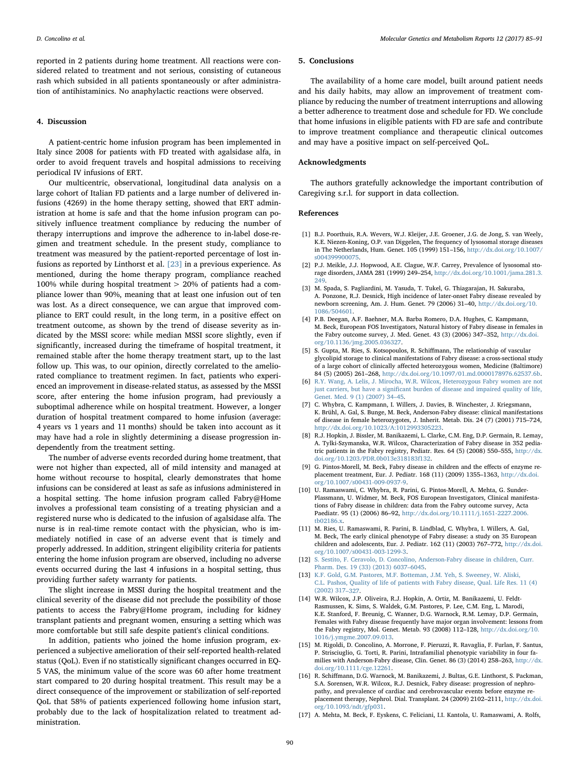reported in 2 patients during home treatment. All reactions were considered related to treatment and not serious, consisting of cutaneous rash which subsided in all patients spontaneously or after administration of antihistaminics. No anaphylactic reactions were observed.

#### 4. Discussion

A patient-centric home infusion program has been implemented in Italy since 2008 for patients with FD treated with agalsidase alfa, in order to avoid frequent travels and hospital admissions to receiving periodical IV infusions of ERT.

Our multicentric, observational, longitudinal data analysis on a large cohort of Italian FD patients and a large number of delivered infusions (4269) in the home therapy setting, showed that ERT administration at home is safe and that the home infusion program can positively influence treatment compliance by reducing the number of therapy interruptions and improve the adherence to in-label dose-regimen and treatment schedule. In the present study, compliance to treatment was measured by the patient-reported percentage of lost infusions as reported by Linthorst et al. [\[23\]](#page-6-3) in a previous experience. As mentioned, during the home therapy program, compliance reached 100% while during hospital treatment > 20% of patients had a compliance lower than 90%, meaning that at least one infusion out of ten was lost. As a direct consequence, we can argue that improved compliance to ERT could result, in the long term, in a positive effect on treatment outcome, as shown by the trend of disease severity as indicated by the MSSI score: while median MSSI score slightly, even if significantly, increased during the timeframe of hospital treatment, it remained stable after the home therapy treatment start, up to the last follow up. This was, to our opinion, directly correlated to the ameliorated compliance to treatment regimen. In fact, patients who experienced an improvement in disease-related status, as assessed by the MSSI score, after entering the home infusion program, had previously a suboptimal adherence while on hospital treatment. However, a longer duration of hospital treatment compared to home infusion (average: 4 years vs 1 years and 11 months) should be taken into account as it may have had a role in slightly determining a disease progression independently from the treatment setting.

The number of adverse events recorded during home treatment, that were not higher than expected, all of mild intensity and managed at home without recourse to hospital, clearly demonstrates that home infusions can be considered at least as safe as infusions administered in a hospital setting. The home infusion program called Fabry@Home involves a professional team consisting of a treating physician and a registered nurse who is dedicated to the infusion of agalsidase alfa. The nurse is in real-time remote contact with the physician, who is immediately notified in case of an adverse event that is timely and properly addressed. In addition, stringent eligibility criteria for patients entering the home infusion program are observed, including no adverse events occurred during the last 4 infusions in a hospital setting, thus providing further safety warranty for patients.

The slight increase in MSSI during the hospital treatment and the clinical severity of the disease did not preclude the possibility of those patients to access the Fabry@Home program, including for kidney transplant patients and pregnant women, ensuring a setting which was more comfortable but still safe despite patient's clinical conditions.

In addition, patients who joined the home infusion program, experienced a subjective amelioration of their self-reported health-related status (QoL). Even if no statistically significant changes occurred in EQ-5 VAS, the minimum value of the score was 60 after home treatment start compared to 20 during hospital treatment. This result may be a direct consequence of the improvement or stabilization of self-reported QoL that 58% of patients experienced following home infusion start, probably due to the lack of hospitalization related to treatment administration.

#### 5. Conclusions

The availability of a home care model, built around patient needs and his daily habits, may allow an improvement of treatment compliance by reducing the number of treatment interruptions and allowing a better adherence to treatment dose and schedule for FD. We conclude that home infusions in eligible patients with FD are safe and contribute to improve treatment compliance and therapeutic clinical outcomes and may have a positive impact on self-perceived QoL.

# Acknowledgments

The authors gratefully acknowledge the important contribution of Caregiving s.r.l. for support in data collection.

# References

- <span id="page-5-0"></span>[1] B.J. Poorthuis, R.A. Wevers, W.J. Kleijer, J.E. Groener, J.G. de Jong, S. van Weely, K.E. Niezen-Koning, O.P. van Diggelen, The frequency of lysosomal storage diseases in The Netherlands, Hum. Genet. 105 (1999) 151–156, [http://dx.doi.org/10.1007/](http://dx.doi.org/10.1007/s004399900075) [s004399900075.](http://dx.doi.org/10.1007/s004399900075)
- [2] P.J. Meikle, J.J. Hopwood, A.E. Clague, W.F. Carrey, Prevalence of lysosomal storage disorders, JAMA 281 (1999) 249–254, [http://dx.doi.org/10.1001/jama.281.3.](http://dx.doi.org/10.1001/jama.281.3.249) [249.](http://dx.doi.org/10.1001/jama.281.3.249)
- <span id="page-5-1"></span>[3] M. Spada, S. Pagliardini, M. Yasuda, T. Tukel, G. Thiagarajan, H. Sakuraba, A. Ponzone, R.J. Desnick, High incidence of later-onset Fabry disease revealed by newborn screening, Am. J. Hum. Genet. 79 (2006) 31–40, [http://dx.doi.org/10.](http://dx.doi.org/10.1086/504601) [1086/504601.](http://dx.doi.org/10.1086/504601)
- <span id="page-5-2"></span>[4] P.B. Deegan, A.F. Baehner, M.A. Barba Romero, D.A. Hughes, C. Kampmann, M. Beck, European FOS Investigators, Natural history of Fabry disease in females in the Fabry outcome survey, J. Med. Genet. 43 (3) (2006) 347–352, [http://dx.doi.](http://dx.doi.org/10.1136/jmg.2005.036327) [org/10.1136/jmg.2005.036327.](http://dx.doi.org/10.1136/jmg.2005.036327)
- [5] S. Gupta, M. Ries, S. Kotsopoulos, R. Schiffmann, The relationship of vascular glycolipid storage to clinical manifestations of Fabry disease: a cross-sectional study of a large cohort of clinically affected heterozygous women, Medicine (Baltimore) 84 (5) (2005) 261–268, [http://dx.doi.org/10.1097/01.md.0000178976.62537.6b.](http://dx.doi.org/10.1097/01.md.0000178976.62537.6b)
- [6] [R.Y. Wang, A. Lelis, J. Mirocha, W.R. Wilcox, Heterozygous Fabry women are not](http://refhub.elsevier.com/S2214-4269(17)30033-2/rf0030) just carriers, but have a signifi[cant burden of disease and impaired quality of life,](http://refhub.elsevier.com/S2214-4269(17)30033-2/rf0030) [Genet. Med. 9 \(1\) \(2007\) 34](http://refhub.elsevier.com/S2214-4269(17)30033-2/rf0030)–45.
- [7] C. Whybra, C. Kampmann, I. Willers, J. Davies, B. Winchester, J. Kriegsmann, K. Brühl, A. Gal, S. Bunge, M. Beck, Anderson-Fabry disease: clinical manifestations of disease in female heterozygotes, J. Inherit. Metab. Dis. 24 (7) (2001) 715–724, [http://dx.doi.org/10.1023/A:1012993305223.](http://dx.doi.org/10.1023/A:1012993305223)
- <span id="page-5-3"></span>[8] R.J. Hopkin, J. Bissler, M. Banikazemi, L. Clarke, C.M. Eng, D.P. Germain, R. Lemay, A. Tylki-Szymanska, W.R. Wilcox, Characterization of Fabry disease in 352 pediatric patients in the Fabry registry, Pediatr. Res. 64 (5) (2008) 550–555, [http://dx.](http://dx.doi.org/10.1203/PDR.0b013e318183f132) [doi.org/10.1203/PDR.0b013e318183f132.](http://dx.doi.org/10.1203/PDR.0b013e318183f132)
- [9] G. Pintos-Morell, M. Beck, Fabry disease in children and the effects of enzyme replacement treatment, Eur. J. Pediatr. 168 (11) (2009) 1355–1363, [http://dx.doi.](http://dx.doi.org/10.1007/s00431-009-0937-9) [org/10.1007/s00431-009-0937-9.](http://dx.doi.org/10.1007/s00431-009-0937-9)
- [10] U. Ramaswami, C. Whybra, R. Parini, G. Pintos-Morell, A. Mehta, G. Sunder-Plassmann, U. Widmer, M. Beck, FOS European Investigators, Clinical manifestations of Fabry disease in children: data from the Fabry outcome survey, Acta Paediatr. 95 (1) (2006) 86–92, [http://dx.doi.org/10.1111/j.1651-2227.2006.](http://dx.doi.org/10.1111/j.1651-2227.2006.tb02186.x) [tb02186.x.](http://dx.doi.org/10.1111/j.1651-2227.2006.tb02186.x)
- [11] M. Ries, U. Ramaswami, R. Parini, B. Lindblad, C. Whybra, I. Willers, A. Gal, M. Beck, The early clinical phenotype of Fabry disease: a study on 35 European children and adolescents, Eur. J. Pediatr. 162 (11) (2003) 767–772, [http://dx.doi.](http://dx.doi.org/10.1007/s00431-003-1299-3) [org/10.1007/s00431-003-1299-3.](http://dx.doi.org/10.1007/s00431-003-1299-3)
- [12] [S. Sestito, F. Ceravolo, D. Concolino, Anderson-Fabry disease in children, Curr.](http://refhub.elsevier.com/S2214-4269(17)30033-2/rf0060) [Pharm. Des. 19 \(33\) \(2013\) 6037](http://refhub.elsevier.com/S2214-4269(17)30033-2/rf0060)–6045.
- <span id="page-5-5"></span>[13] [K.F. Gold, G.M. Pastores, M.F. Botteman, J.M. Yeh, S. Sweeney, W. Aliski,](http://refhub.elsevier.com/S2214-4269(17)30033-2/rf0065) [C.L. Pashos, Quality of life of patients with Fabry disease, Qual. Life Res. 11 \(4\)](http://refhub.elsevier.com/S2214-4269(17)30033-2/rf0065) [\(2002\) 317](http://refhub.elsevier.com/S2214-4269(17)30033-2/rf0065)–327.
- <span id="page-5-4"></span>[14] W.R. Wilcox, J.P. Oliveira, R.J. Hopkin, A. Ortiz, M. Banikazemi, U. Feldt-Rasmussen, K. Sims, S. Waldek, G.M. Pastores, P. Lee, C.M. Eng, L. Marodi, K.E. Stanford, F. Breunig, C. Wanner, D.G. Warnock, R.M. Lemay, D.P. Germain, Females with Fabry disease frequently have major organ involvement: lessons from the Fabry registry, Mol. Genet. Metab. 93 (2008) 112–128, [http://dx.doi.org/10.](http://dx.doi.org/10.1016/j.ymgme.2007.09.013) [1016/j.ymgme.2007.09.013.](http://dx.doi.org/10.1016/j.ymgme.2007.09.013)
- <span id="page-5-6"></span>[15] M. Rigoldi, D. Concolino, A. Morrone, F. Pieruzzi, R. Ravaglia, F. Furlan, F. Santus, P. Strisciuglio, G. Torti, R. Parini, Intrafamilial phenotypic variability in four families with Anderson-Fabry disease, Clin. Genet. 86 (3) (2014) 258–263, [http://dx.](http://dx.doi.org/10.1111/cge.12261) [doi.org/10.1111/cge.12261.](http://dx.doi.org/10.1111/cge.12261)
- <span id="page-5-7"></span>[16] R. Schiffmann, D.G. Warnock, M. Banikazemi, J. Bultas, G.E. Linthorst, S. Packman, S.A. Sorensen, W.R. Wilcox, R.J. Desnick, Fabry disease: progression of nephropathy, and prevalence of cardiac and cerebrovascular events before enzyme replacement therapy, Nephrol. Dial. Transplant. 24 (2009) 2102–2111, [http://dx.doi.](http://dx.doi.org/10.1093/ndt/gfp031) [org/10.1093/ndt/gfp031.](http://dx.doi.org/10.1093/ndt/gfp031)
- [17] A. Mehta, M. Beck, F. Eyskens, C. Feliciani, I.I. Kantola, U. Ramaswami, A. Rolfs,